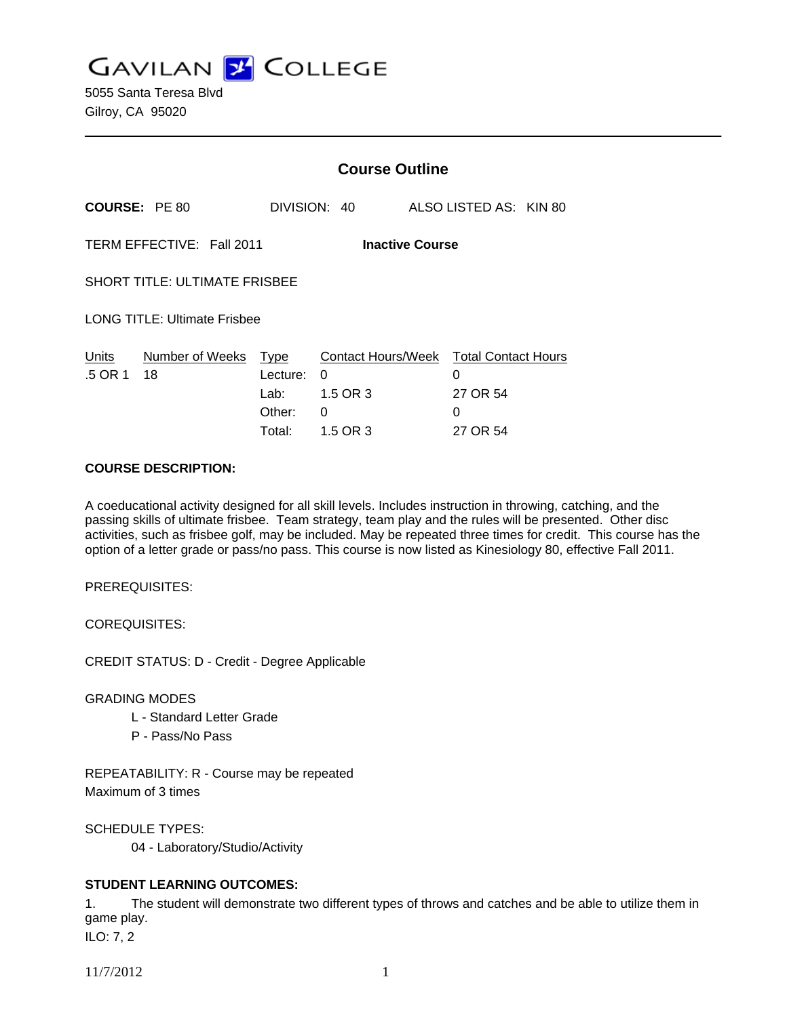**GAVILAN Z COLLEGE** 

|                                                     |                       | <b>Course Outline</b>                        |                                                      |                                                              |  |
|-----------------------------------------------------|-----------------------|----------------------------------------------|------------------------------------------------------|--------------------------------------------------------------|--|
| <b>COURSE: PE 80</b>                                |                       |                                              | DIVISION: 40                                         | ALSO LISTED AS: KIN 80                                       |  |
| TERM EFFECTIVE: Fall 2011<br><b>Inactive Course</b> |                       |                                              |                                                      |                                                              |  |
| <b>SHORT TITLE: ULTIMATE FRISBEE</b>                |                       |                                              |                                                      |                                                              |  |
| <b>LONG TITLE: Ultimate Frisbee</b>                 |                       |                                              |                                                      |                                                              |  |
| Units<br>.5 OR 1                                    | Number of Weeks<br>18 | Type<br>Lecture:<br>Lab:<br>Other:<br>Total: | Contact Hours/Week<br>0<br>1.5 OR 3<br>0<br>1.5 OR 3 | <b>Total Contact Hours</b><br>0<br>27 OR 54<br>0<br>27 OR 54 |  |

#### **COURSE DESCRIPTION:**

A coeducational activity designed for all skill levels. Includes instruction in throwing, catching, and the passing skills of ultimate frisbee. Team strategy, team play and the rules will be presented. Other disc activities, such as frisbee golf, may be included. May be repeated three times for credit. This course has the option of a letter grade or pass/no pass. This course is now listed as Kinesiology 80, effective Fall 2011.

PREREQUISITES:

COREQUISITES:

CREDIT STATUS: D - Credit - Degree Applicable

GRADING MODES

- L Standard Letter Grade
- P Pass/No Pass

REPEATABILITY: R - Course may be repeated Maximum of 3 times

SCHEDULE TYPES:

04 - Laboratory/Studio/Activity

## **STUDENT LEARNING OUTCOMES:**

1. The student will demonstrate two different types of throws and catches and be able to utilize them in game play.

ILO: 7, 2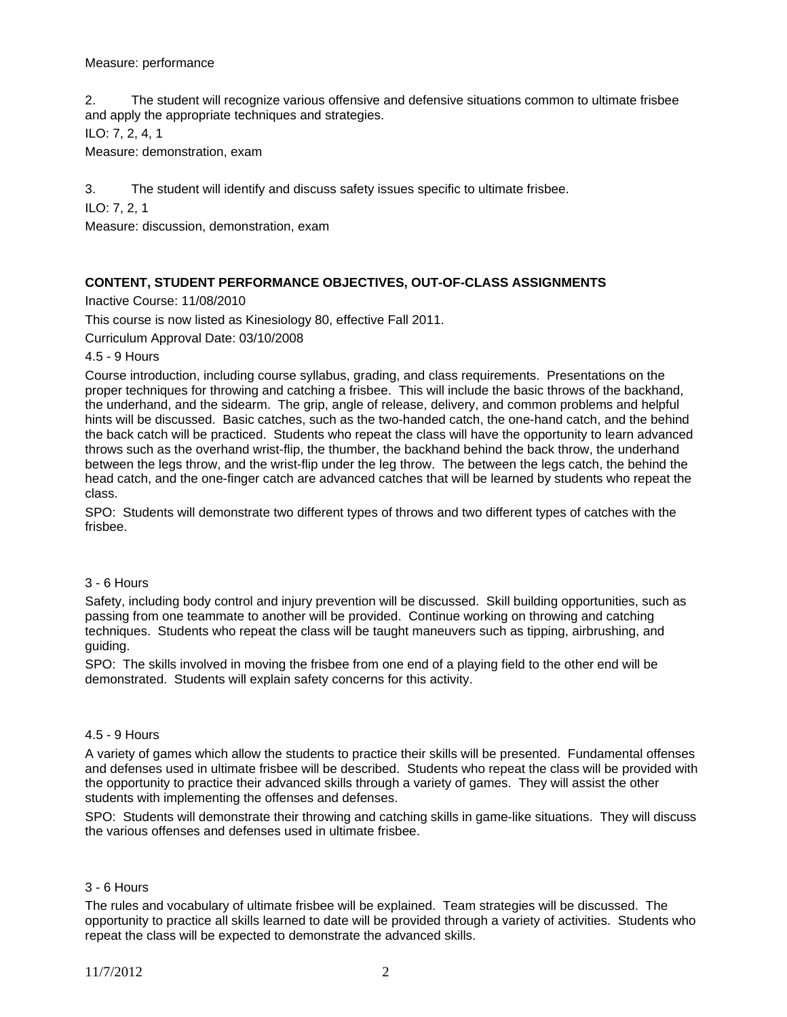## Measure: performance

2. The student will recognize various offensive and defensive situations common to ultimate frisbee and apply the appropriate techniques and strategies.

ILO: 7, 2, 4, 1

Measure: demonstration, exam

3. The student will identify and discuss safety issues specific to ultimate frisbee.

ILO: 7, 2, 1

Measure: discussion, demonstration, exam

## **CONTENT, STUDENT PERFORMANCE OBJECTIVES, OUT-OF-CLASS ASSIGNMENTS**

Inactive Course: 11/08/2010

This course is now listed as Kinesiology 80, effective Fall 2011.

Curriculum Approval Date: 03/10/2008

4.5 - 9 Hours

Course introduction, including course syllabus, grading, and class requirements. Presentations on the proper techniques for throwing and catching a frisbee. This will include the basic throws of the backhand, the underhand, and the sidearm. The grip, angle of release, delivery, and common problems and helpful hints will be discussed. Basic catches, such as the two-handed catch, the one-hand catch, and the behind the back catch will be practiced. Students who repeat the class will have the opportunity to learn advanced throws such as the overhand wrist-flip, the thumber, the backhand behind the back throw, the underhand between the legs throw, and the wrist-flip under the leg throw. The between the legs catch, the behind the head catch, and the one-finger catch are advanced catches that will be learned by students who repeat the class.

SPO: Students will demonstrate two different types of throws and two different types of catches with the frisbee.

#### 3 - 6 Hours

Safety, including body control and injury prevention will be discussed. Skill building opportunities, such as passing from one teammate to another will be provided. Continue working on throwing and catching techniques. Students who repeat the class will be taught maneuvers such as tipping, airbrushing, and guiding.

SPO: The skills involved in moving the frisbee from one end of a playing field to the other end will be demonstrated. Students will explain safety concerns for this activity.

#### 4.5 - 9 Hours

A variety of games which allow the students to practice their skills will be presented. Fundamental offenses and defenses used in ultimate frisbee will be described. Students who repeat the class will be provided with the opportunity to practice their advanced skills through a variety of games. They will assist the other students with implementing the offenses and defenses.

SPO: Students will demonstrate their throwing and catching skills in game-like situations. They will discuss the various offenses and defenses used in ultimate frisbee.

#### 3 - 6 Hours

The rules and vocabulary of ultimate frisbee will be explained. Team strategies will be discussed. The opportunity to practice all skills learned to date will be provided through a variety of activities. Students who repeat the class will be expected to demonstrate the advanced skills.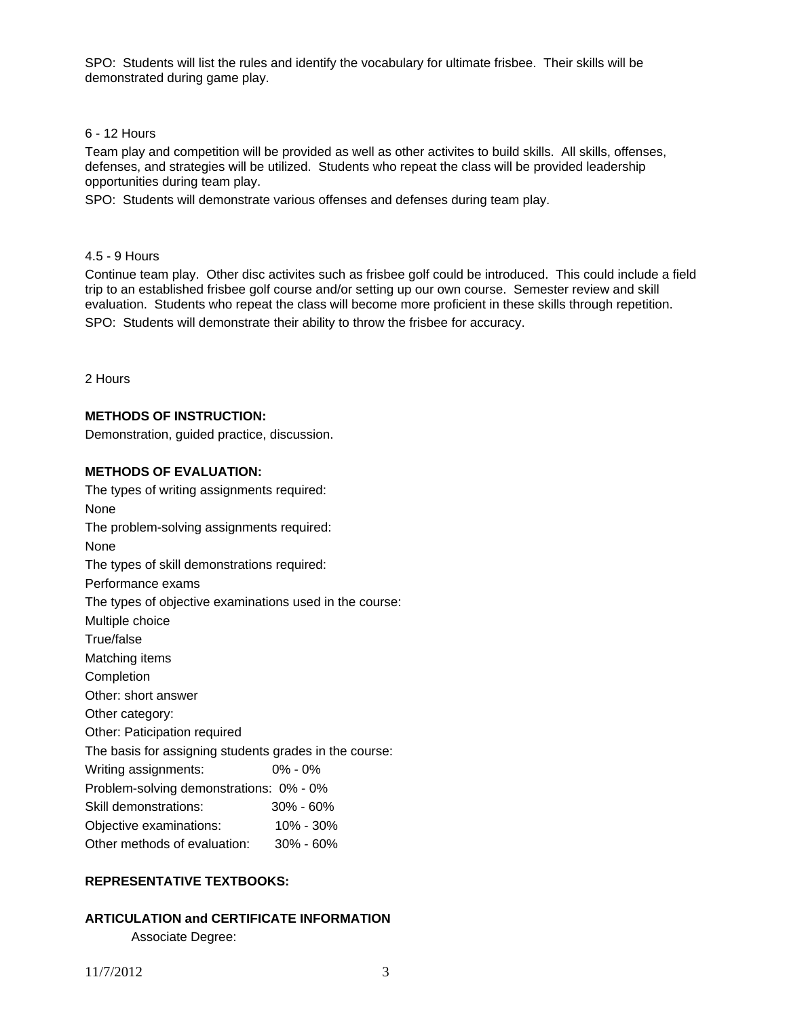SPO: Students will list the rules and identify the vocabulary for ultimate frisbee. Their skills will be demonstrated during game play.

#### 6 - 12 Hours

Team play and competition will be provided as well as other activites to build skills. All skills, offenses, defenses, and strategies will be utilized. Students who repeat the class will be provided leadership opportunities during team play.

SPO: Students will demonstrate various offenses and defenses during team play.

## 4.5 - 9 Hours

Continue team play. Other disc activites such as frisbee golf could be introduced. This could include a field trip to an established frisbee golf course and/or setting up our own course. Semester review and skill evaluation. Students who repeat the class will become more proficient in these skills through repetition. SPO: Students will demonstrate their ability to throw the frisbee for accuracy.

2 Hours

## **METHODS OF INSTRUCTION:**

Demonstration, guided practice, discussion.

## **METHODS OF EVALUATION:**

The types of writing assignments required: None The problem-solving assignments required: None The types of skill demonstrations required: Performance exams The types of objective examinations used in the course: Multiple choice True/false Matching items Completion Other: short answer Other category: Other: Paticipation required The basis for assigning students grades in the course: Writing assignments: 0% - 0% Problem-solving demonstrations: 0% - 0% Skill demonstrations: 30% - 60% Objective examinations: 10% - 30% Other methods of evaluation: 30% - 60%

## **REPRESENTATIVE TEXTBOOKS:**

# **ARTICULATION and CERTIFICATE INFORMATION**

Associate Degree: